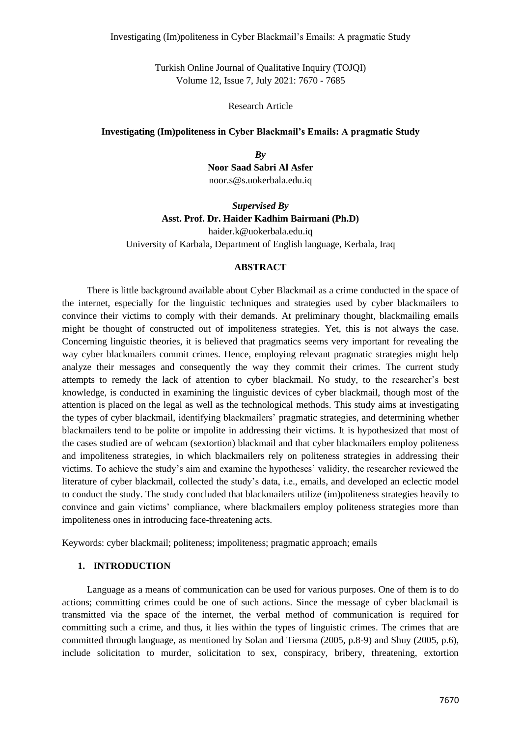Turkish Online Journal of Qualitative Inquiry (TOJQI) Volume 12, Issue 7, July 2021: 7670 - 7685

Research Article

#### **Investigating (Im)politeness in Cyber Blackmail's Emails: A pragmatic Study**

*By* **Noor Saad Sabri Al Asfer** noor.s@s.uokerbala.edu.iq

# *Supervised By* **Asst. Prof. Dr. Haider Kadhim Bairmani (Ph.D)**

[haider.k@uokerbala.edu.iq](mailto:haider.k@uokerbala.edu.iq) University of Karbala, Department of English language, Kerbala, Iraq

#### **ABSTRACT**

There is little background available about Cyber Blackmail as a crime conducted in the space of the internet, especially for the linguistic techniques and strategies used by cyber blackmailers to convince their victims to comply with their demands. At preliminary thought, blackmailing emails might be thought of constructed out of impoliteness strategies. Yet, this is not always the case. Concerning linguistic theories, it is believed that pragmatics seems very important for revealing the way cyber blackmailers commit crimes. Hence, employing relevant pragmatic strategies might help analyze their messages and consequently the way they commit their crimes. The current study attempts to remedy the lack of attention to cyber blackmail. No study, to the researcher's best knowledge, is conducted in examining the linguistic devices of cyber blackmail, though most of the attention is placed on the legal as well as the technological methods. This study aims at investigating the types of cyber blackmail, identifying blackmailers' pragmatic strategies, and determining whether blackmailers tend to be polite or impolite in addressing their victims. It is hypothesized that most of the cases studied are of webcam (sextortion) blackmail and that cyber blackmailers employ politeness and impoliteness strategies, in which blackmailers rely on politeness strategies in addressing their victims. To achieve the study's aim and examine the hypotheses' validity, the researcher reviewed the literature of cyber blackmail, collected the study's data, i.e., emails, and developed an eclectic model to conduct the study. The study concluded that blackmailers utilize (im)politeness strategies heavily to convince and gain victims' compliance, where blackmailers employ politeness strategies more than impoliteness ones in introducing face-threatening acts.

Keywords: cyber blackmail; politeness; impoliteness; pragmatic approach; emails

### **1. INTRODUCTION**

Language as a means of communication can be used for various purposes. One of them is to do actions; committing crimes could be one of such actions. Since the message of cyber blackmail is transmitted via the space of the internet, the verbal method of communication is required for committing such a crime, and thus, it lies within the types of linguistic crimes. The crimes that are committed through language, as mentioned by Solan and Tiersma (2005, p.8-9) and Shuy (2005, p.6), include solicitation to murder, solicitation to sex, conspiracy, bribery, threatening, extortion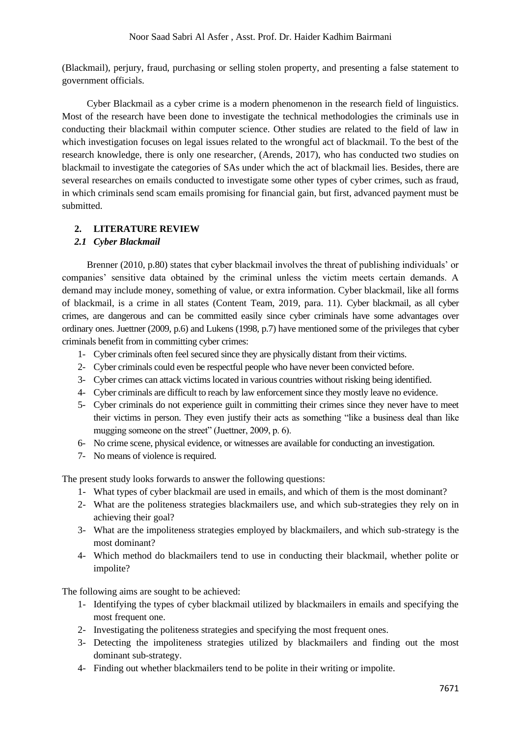(Blackmail), perjury, fraud, purchasing or selling stolen property, and presenting a false statement to government officials.

Cyber Blackmail as a cyber crime is a modern phenomenon in the research field of linguistics. Most of the research have been done to investigate the technical methodologies the criminals use in conducting their blackmail within computer science. Other studies are related to the field of law in which investigation focuses on legal issues related to the wrongful act of blackmail. To the best of the research knowledge, there is only one researcher, (Arends, 2017), who has conducted two studies on blackmail to investigate the categories of SAs under which the act of blackmail lies. Besides, there are several researches on emails conducted to investigate some other types of cyber crimes, such as fraud, in which criminals send scam emails promising for financial gain, but first, advanced payment must be submitted.

## **2. LITERATURE REVIEW**

## *2.1 Cyber Blackmail*

Brenner (2010, p.80) states that cyber blackmail involves the threat of publishing individuals' or companies' sensitive data obtained by the criminal unless the victim meets certain demands. A demand may include money, something of value, or extra information. Cyber blackmail, like all forms of blackmail, is a crime in all states (Content Team, 2019, para. 11). Cyber blackmail, as all cyber crimes, are dangerous and can be committed easily since cyber criminals have some advantages over ordinary ones. Juettner (2009, p.6) and Lukens (1998, p.7) have mentioned some of the privileges that cyber criminals benefit from in committing cyber crimes:

- 1- Cyber criminals often feel secured since they are physically distant from their victims.
- 2- Cyber criminals could even be respectful people who have never been convicted before.
- 3- Cyber crimes can attack victims located in various countries without risking being identified.
- 4- Cyber criminals are difficult to reach by law enforcement since they mostly leave no evidence.
- 5- Cyber criminals do not experience guilt in committing their crimes since they never have to meet their victims in person. They even justify their acts as something "like a business deal than like mugging someone on the street" (Juettner, 2009, p. 6).
- 6- No crime scene, physical evidence, or witnesses are available for conducting an investigation.
- 7- No means of violence is required.

The present study looks forwards to answer the following questions:

- 1- What types of cyber blackmail are used in emails, and which of them is the most dominant?
- 2- What are the politeness strategies blackmailers use, and which sub-strategies they rely on in achieving their goal?
- 3- What are the impoliteness strategies employed by blackmailers, and which sub-strategy is the most dominant?
- 4- Which method do blackmailers tend to use in conducting their blackmail, whether polite or impolite?

The following aims are sought to be achieved:

- 1- Identifying the types of cyber blackmail utilized by blackmailers in emails and specifying the most frequent one.
- 2- Investigating the politeness strategies and specifying the most frequent ones.
- 3- Detecting the impoliteness strategies utilized by blackmailers and finding out the most dominant sub-strategy.
- 4- Finding out whether blackmailers tend to be polite in their writing or impolite.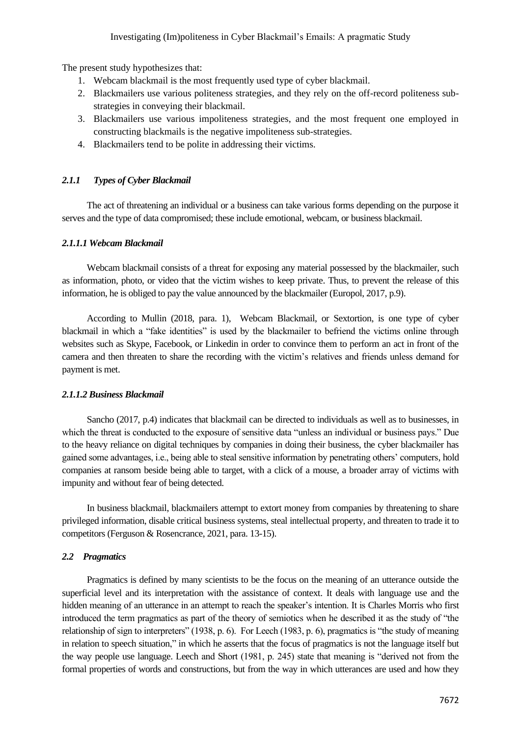The present study hypothesizes that:

- 1. Webcam blackmail is the most frequently used type of cyber blackmail.
- 2. Blackmailers use various politeness strategies, and they rely on the off-record politeness substrategies in conveying their blackmail.
- 3. Blackmailers use various impoliteness strategies, and the most frequent one employed in constructing blackmails is the negative impoliteness sub-strategies.
- 4. Blackmailers tend to be polite in addressing their victims.

## *2.1.1 Types of Cyber Blackmail*

The act of threatening an individual or a business can take various forms depending on the purpose it serves and the type of data compromised; these include emotional, webcam, or business blackmail.

## *2.1.1.1 Webcam Blackmail*

Webcam blackmail consists of a threat for exposing any material possessed by the blackmailer, such as information, photo, or video that the victim wishes to keep private. Thus, to prevent the release of this information, he is obliged to pay the value announced by the blackmailer (Europol, 2017, p.9).

According to Mullin (2018, para. 1), Webcam Blackmail, or Sextortion, is one type of cyber blackmail in which a "fake identities" is used by the blackmailer to befriend the victims online through websites such as Skype, Facebook, or Linkedin in order to convince them to perform an act in front of the camera and then threaten to share the recording with the victim's relatives and friends unless demand for payment is met.

## *2.1.1.2 Business Blackmail*

Sancho (2017, p.4) indicates that blackmail can be directed to individuals as well as to businesses, in which the threat is conducted to the exposure of sensitive data "unless an individual or business pays." Due to the heavy reliance on digital techniques by companies in doing their business, the cyber blackmailer has gained some advantages, i.e., being able to steal sensitive information by penetrating others' computers, hold companies at ransom beside being able to target, with a click of a mouse, a broader array of victims with impunity and without fear of being detected.

In business blackmail, blackmailers attempt to extort money from companies by threatening to share privileged information, disable critical business systems, steal intellectual property, and threaten to trade it to competitors (Ferguson & Rosencrance, 2021, para. 13-15).

## *2.2 Pragmatics*

Pragmatics is defined by many scientists to be the focus on the meaning of an utterance outside the superficial level and its interpretation with the assistance of context. It deals with language use and the hidden meaning of an utterance in an attempt to reach the speaker's intention. It is Charles Morris who first introduced the term pragmatics as part of the theory of semiotics when he described it as the study of "the relationship of sign to interpreters" (1938, p. 6). For Leech (1983, p. 6), pragmatics is "the study of meaning in relation to speech situation," in which he asserts that the focus of pragmatics is not the language itself but the way people use language. Leech and Short (1981, p. 245) state that meaning is "derived not from the formal properties of words and constructions, but from the way in which utterances are used and how they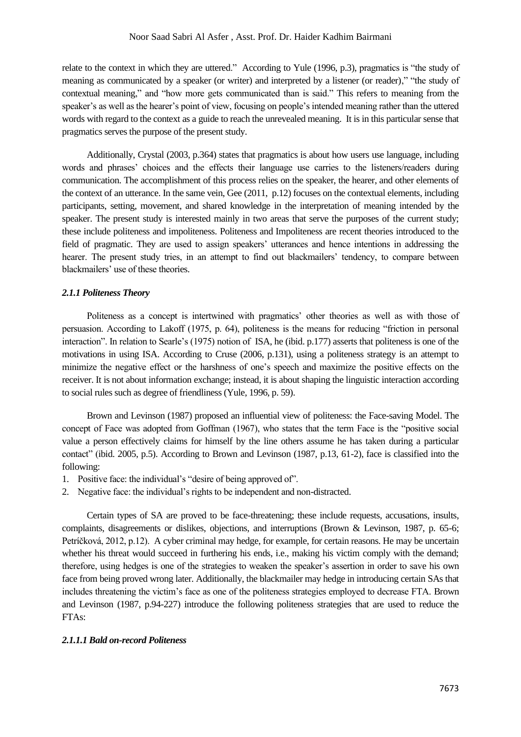relate to the context in which they are uttered." According to Yule (1996, p.3), pragmatics is "the study of meaning as communicated by a speaker (or writer) and interpreted by a listener (or reader)," "the study of contextual meaning," and "how more gets communicated than is said." This refers to meaning from the speaker's as well as the hearer's point of view, focusing on people's intended meaning rather than the uttered words with regard to the context as a guide to reach the unrevealed meaning. It is in this particular sense that pragmatics serves the purpose of the present study.

Additionally, Crystal (2003, p.364) states that pragmatics is about how users use language, including words and phrases' choices and the effects their language use carries to the listeners/readers during communication. The accomplishment of this process relies on the speaker, the hearer, and other elements of the context of an utterance. In the same vein, Gee (2011, p.12) focuses on the contextual elements, including participants, setting, movement, and shared knowledge in the interpretation of meaning intended by the speaker. The present study is interested mainly in two areas that serve the purposes of the current study; these include politeness and impoliteness. Politeness and Impoliteness are recent theories introduced to the field of pragmatic. They are used to assign speakers' utterances and hence intentions in addressing the hearer. The present study tries, in an attempt to find out blackmailers' tendency, to compare between blackmailers' use of these theories.

## *2.1.1 Politeness Theory*

Politeness as a concept is intertwined with pragmatics' other theories as well as with those of persuasion. According to Lakoff (1975, p. 64), politeness is the means for reducing "friction in personal interaction". In relation to Searle's (1975) notion of ISA, he (ibid. p.177) asserts that politeness is one of the motivations in using ISA. According to Cruse (2006, p.131), using a politeness strategy is an attempt to minimize the negative effect or the harshness of one's speech and maximize the positive effects on the receiver. It is not about information exchange; instead, it is about shaping the linguistic interaction according to social rules such as degree of friendliness (Yule, 1996, p. 59).

Brown and Levinson (1987) proposed an influential view of politeness: the Face-saving Model. The concept of Face was adopted from Goffman (1967), who states that the term Face is the "positive social value a person effectively claims for himself by the line others assume he has taken during a particular contact" (ibid. 2005, p.5). According to Brown and Levinson (1987, p.13, 61-2), face is classified into the following:

- 1. Positive face: the individual's "desire of being approved of".
- 2. Negative face: the individual's rights to be independent and non-distracted.

Certain types of SA are proved to be face-threatening; these include requests, accusations, insults, complaints, disagreements or dislikes, objections, and interruptions (Brown & Levinson, 1987, p. 65-6; Petríčková, 2012, p.12). A cyber criminal may hedge, for example, for certain reasons. He may be uncertain whether his threat would succeed in furthering his ends, i.e., making his victim comply with the demand; therefore, using hedges is one of the strategies to weaken the speaker's assertion in order to save his own face from being proved wrong later. Additionally, the blackmailer may hedge in introducing certain SAs that includes threatening the victim's face as one of the politeness strategies employed to decrease FTA. Brown and Levinson (1987, p.94-227) introduce the following politeness strategies that are used to reduce the FTAs:

## *2.1.1.1 Bald on-record Politeness*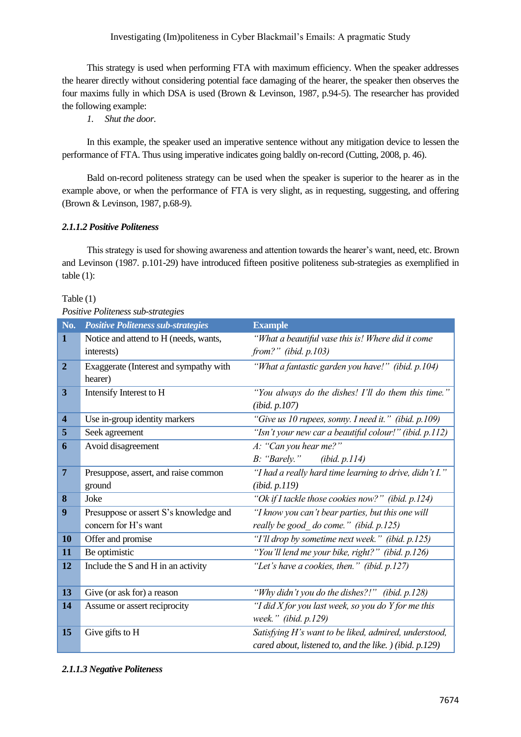This strategy is used when performing FTA with maximum efficiency. When the speaker addresses the hearer directly without considering potential face damaging of the hearer, the speaker then observes the four maxims fully in which DSA is used (Brown & Levinson, 1987, p.94-5). The researcher has provided the following example:

*1. Shut the door.*

In this example, the speaker used an imperative sentence without any mitigation device to lessen the performance of FTA. Thus using imperative indicates going baldly on-record (Cutting, 2008, p. 46).

Bald on-record politeness strategy can be used when the speaker is superior to the hearer as in the example above, or when the performance of FTA is very slight, as in requesting, suggesting, and offering (Brown & Levinson, 1987, p.68-9).

## *2.1.1.2 Positive Politeness*

This strategy is used for showing awareness and attention towards the hearer's want, need, etc. Brown and Levinson (1987. p.101-29) have introduced fifteen positive politeness sub-strategies as exemplified in table  $(1)$ :

| <b>Table</b> |  |
|--------------|--|
|              |  |

|                         | T OBUTE I OMENCIJOS SAO SITUACIJUS        |                                                         |
|-------------------------|-------------------------------------------|---------------------------------------------------------|
| No.                     | <b>Positive Politeness sub-strategies</b> | <b>Example</b>                                          |
| $\mathbf{1}$            | Notice and attend to H (needs, wants,     | "What a beautiful vase this is! Where did it come       |
|                         | interests)                                | from?" (ibid. $p.103$ )                                 |
| $\overline{2}$          | Exaggerate (Interest and sympathy with    | "What a fantastic garden you have!" (ibid. p.104)       |
|                         | hearer)                                   |                                                         |
| 3                       | Intensify Interest to H                   | "You always do the dishes! I'll do them this time."     |
|                         |                                           | (ibid. p. 107)                                          |
| $\overline{\mathbf{4}}$ | Use in-group identity markers             | "Give us 10 rupees, sonny. I need it." (ibid. p.109)    |
| 5                       | Seek agreement                            | "Isn't your new car a beautiful colour!" (ibid. p.112)  |
| 6                       | Avoid disagreement                        | A: "Can you hear me?"                                   |
|                         |                                           | B: "Barely."<br>(ibid. p.114)                           |
| $\overline{7}$          | Presuppose, assert, and raise common      | "I had a really hard time learning to drive, didn't I." |
|                         | ground                                    | (ibid. p.119)                                           |
| 8                       | Joke                                      | "Ok if I tackle those cookies now?" (ibid. p.124)       |
| 9                       | Presuppose or assert S's knowledge and    | "I know you can't bear parties, but this one will       |
|                         | concern for H's want                      | really be good_do come." (ibid. p.125)                  |
| 10                      | Offer and promise                         | "I'll drop by sometime next week." (ibid. p.125)        |
| 11                      | Be optimistic                             | "You'll lend me your bike, right?" (ibid. p.126)        |
| 12                      | Include the S and H in an activity        | "Let's have a cookies, then." (ibid. p.127)             |
|                         |                                           |                                                         |
| 13                      | Give (or ask for) a reason                | "Why didn't you do the dishes?!" (ibid. p.128)          |
| 14                      | Assume or assert reciprocity              | "I did X for you last week, so you do Y for me this     |
|                         |                                           | week." (ibid. p.129)                                    |
| 15                      | Give gifts to H                           | Satisfying H's want to be liked, admired, understood,   |
|                         |                                           | cared about, listened to, and the like. ) (ibid. p.129) |

*Positive Politeness sub-strategies* 

# *2.1.1.3 Negative Politeness*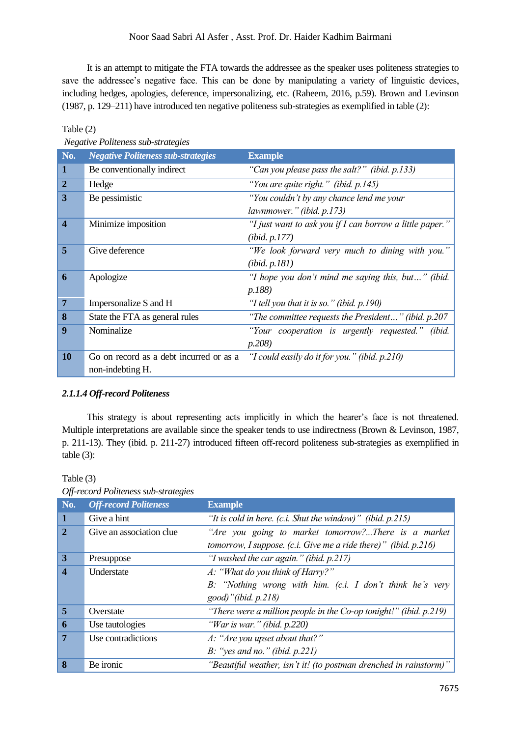It is an attempt to mitigate the FTA towards the addressee as the speaker uses politeness strategies to save the addressee's negative face. This can be done by manipulating a variety of linguistic devices, including hedges, apologies, deference, impersonalizing, etc. (Raheem, 2016, p.59). Brown and Levinson (1987, p. 129–211) have introduced ten negative politeness sub-strategies as exemplified in table (2):

## Table (2)

*Negative Politeness sub-strategies*

| No.                     | <b>Negative Politeness sub-strategies</b> | <b>Example</b>                                           |
|-------------------------|-------------------------------------------|----------------------------------------------------------|
| $\mathbf 1$             | Be conventionally indirect                | "Can you please pass the salt?" (ibid. p.133)            |
| $\overline{2}$          | Hedge                                     | "You are quite right." (ibid. p.145)                     |
| 3                       | Be pessimistic                            | "You couldn't by any chance lend me your                 |
|                         |                                           | lawnmower." (ibid. p.173)                                |
| $\overline{\mathbf{4}}$ | Minimize imposition                       | "I just want to ask you if I can borrow a little paper." |
|                         |                                           | ( <i>ibid.</i> $p.177$ )                                 |
| 5                       | Give deference                            | "We look forward very much to dining with you."          |
|                         |                                           | (ibid. p.181)                                            |
| 6                       | Apologize                                 | "I hope you don't mind me saying this, but" (ibid.       |
|                         |                                           | p.188)                                                   |
| $\overline{7}$          | Impersonalize S and H                     | "I tell you that it is so." (ibid. p.190)                |
| 8                       | State the FTA as general rules            | "The committee requests the President" (ibid. $p.207$    |
| 9                       | Nominalize                                | "Your cooperation is urgently requested." (ibid.         |
|                         |                                           | p.208)                                                   |
| <b>10</b>               | Go on record as a debt incurred or as a   | "I could easily do it for you." (ibid. p.210)            |
|                         | non-indebting H.                          |                                                          |

## *2.1.1.4 Off-record Politeness*

This strategy is about representing acts implicitly in which the hearer's face is not threatened. Multiple interpretations are available since the speaker tends to use indirectness (Brown & Levinson, 1987, p. 211-13). They (ibid. p. 211-27) introduced fifteen off-record politeness sub-strategies as exemplified in table (3):

**No.** *Off-record Politeness* **Example 1** Give a hint *"It is cold in here. (c.i. Shut the window)" (ibid. p.215)* **2** Give an association clue *"Are you going to market tomorrow?...There is a market tomorrow, I suppose. (c.i. Give me a ride there)" (ibid. p.216)* **3** Presuppose *"I washed the car again." (ibid. p.217)* **4** Understate *A: "What do you think of Harry?" B: "Nothing wrong with him. (c.i. I don't think he's very good)"(ibid. p.218)* **5** Overstate *"There were a million people in the Co-op tonight!" (ibid. p.219)* **6** Use tautologies *"War is war." (ibid. p.220)* **7** Use contradictions *A: "Are you upset about that?" B: "yes and no." (ibid. p.221)* **8** Be ironic *"Beautiful weather, isn't it! (to postman drenched in rainstorm)"* 

| Off-record Politeness sub-strategies |  |  |
|--------------------------------------|--|--|

Table (3)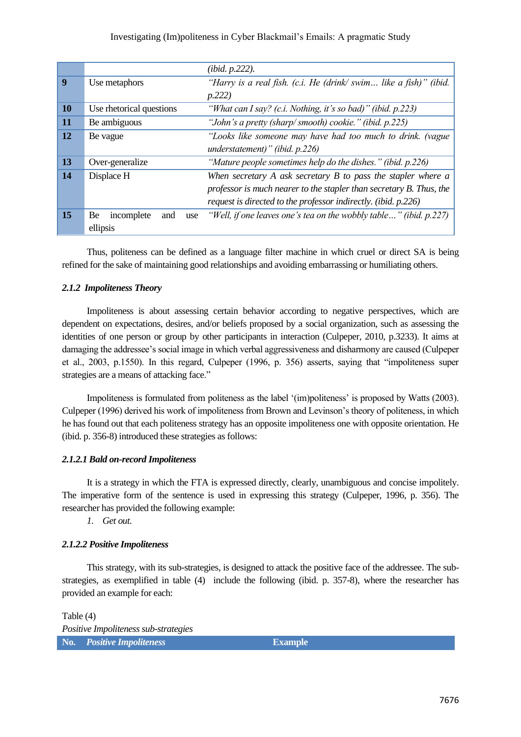|                  |                                | (ibid. p.222).                                                      |
|------------------|--------------------------------|---------------------------------------------------------------------|
| $\boldsymbol{q}$ | Use metaphors                  | "Harry is a real fish. (c.i. He (drink/swim like a fish)"<br>(ibid. |
|                  | p.222)                         |                                                                     |
| 10               | Use rhetorical questions       | "What can I say? (c.i. Nothing, it's so bad)" (ibid. p.223)         |
| 11               | Be ambiguous                   | "John's a pretty (sharp/smooth) cookie." (ibid. p.225)              |
| 12               | Be vague                       | "Looks like someone may have had too much to drink. (vague          |
|                  |                                | understatement)" (ibid. $p.226$ )                                   |
| 13               | Over-generalize                | "Mature people sometimes help do the dishes." (ibid. p.226)         |
| 14               | Displace H                     | When secretary $A$ ask secretary $B$ to pass the stapler where $a$  |
|                  |                                | professor is much nearer to the stapler than secretary B. Thus, the |
|                  |                                | request is directed to the professor indirectly. (ibid. p.226)      |
| 15               | Be<br>incomplete<br>and<br>use | "Well, if one leaves one's tea on the wobbly table" (ibid. p.227)   |
|                  | ellipsis                       |                                                                     |

Thus, politeness can be defined as a language filter machine in which cruel or direct SA is being refined for the sake of maintaining good relationships and avoiding embarrassing or humiliating others.

## *2.1.2 Impoliteness Theory*

Impoliteness is about assessing certain behavior according to negative perspectives, which are dependent on expectations, desires, and/or beliefs proposed by a social organization, such as assessing the identities of one person or group by other participants in interaction (Culpeper, 2010, p.3233). It aims at damaging the addressee's social image in which verbal aggressiveness and disharmony are caused (Culpeper et al., 2003, p.1550). In this regard, Culpeper (1996, p. 356) asserts, saying that "impoliteness super strategies are a means of attacking face."

Impoliteness is formulated from politeness as the label '(im)politeness' is proposed by Watts (2003). Culpeper (1996) derived his work of impoliteness from Brown and Levinson's theory of politeness, in which he has found out that each politeness strategy has an opposite impoliteness one with opposite orientation. He (ibid. p. 356-8) introduced these strategies as follows:

## *2.1.2.1 Bald on-record Impoliteness*

It is a strategy in which the FTA is expressed directly, clearly, unambiguous and concise impolitely. The imperative form of the sentence is used in expressing this strategy (Culpeper, 1996, p. 356). The researcher has provided the following example:

*1. Get out.* 

## *2.1.2.2 Positive Impoliteness*

This strategy, with its sub-strategies, is designed to attack the positive face of the addressee. The substrategies, as exemplified in table (4) include the following (ibid. p. 357-8), where the researcher has provided an example for each:

Table (4) *Positive Impoliteness sub-strategies* **No.** *Positive Impoliteness* **Example**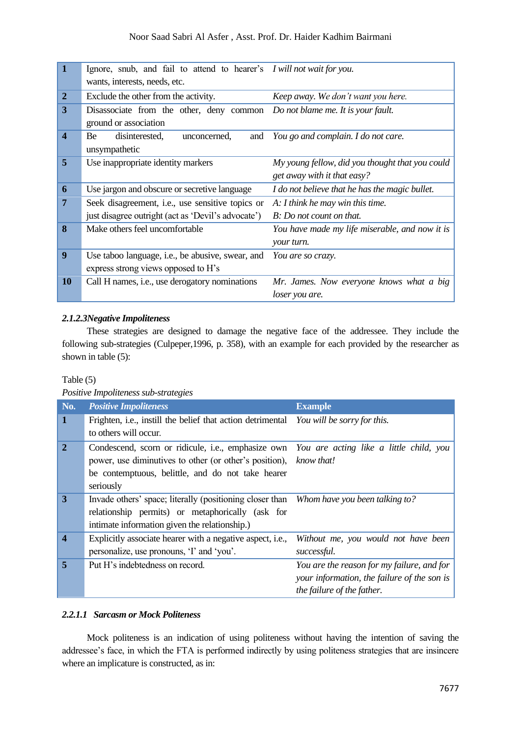| $\vert$ 1               | Ignore, snub, and fail to attend to hearer's <i>I will not wait for you</i> .      |                                                 |
|-------------------------|------------------------------------------------------------------------------------|-------------------------------------------------|
|                         | wants, interests, needs, etc.                                                      |                                                 |
| $\overline{2}$          | Exclude the other from the activity.                                               | Keep away. We don't want you here.              |
| 3                       | Disassociate from the other, deny common <i>Do not blame me. It is your fault.</i> |                                                 |
|                         | ground or association                                                              |                                                 |
| $\overline{\mathbf{4}}$ | disinterested,<br>Be<br>unconcerned,<br>and                                        | You go and complain. I do not care.             |
|                         | unsympathetic                                                                      |                                                 |
| 5                       | Use inappropriate identity markers                                                 | My young fellow, did you thought that you could |
|                         |                                                                                    | get away with it that easy?                     |
| 6                       | Use jargon and obscure or secretive language                                       | I do not believe that he has the magic bullet.  |
| $\overline{7}$          | Seek disagreement, i.e., use sensitive topics or                                   | A: I think he may win this time.                |
|                         | just disagree outright (act as 'Devil's advocate')                                 | B: Do not count on that.                        |
| 8                       | Make others feel uncomfortable                                                     | You have made my life miserable, and now it is  |
|                         |                                                                                    | your turn.                                      |
| 9                       | Use taboo language, <i>i.e.</i> , be abusive, swear, and                           | You are so crazy.                               |
|                         | express strong views opposed to H's                                                |                                                 |
| <b>10</b>               | Call H names, i.e., use derogatory nominations                                     | Mr. James. Now everyone knows what a big        |
|                         |                                                                                    | loser you are.                                  |

## *2.1.2.3Negative Impoliteness*

These strategies are designed to damage the negative face of the addressee. They include the following sub-strategies (Culpeper,1996, p. 358), with an example for each provided by the researcher as shown in table (5):

## Table (5)

*Positive Impoliteness sub-strategies*

| No.                     | <b>Positive Impoliteness</b>                                                                                                                                                                                                      | <b>Example</b>                                                                                                          |
|-------------------------|-----------------------------------------------------------------------------------------------------------------------------------------------------------------------------------------------------------------------------------|-------------------------------------------------------------------------------------------------------------------------|
| $\mathbf 1$             | Frighten, i.e., instill the belief that action detrimental You will be sorry for this.<br>to others will occur.                                                                                                                   |                                                                                                                         |
| $\overline{2}$          | Condescend, scorn or ridicule, i.e., emphasize own You are acting like a little child, you<br>power, use diminutives to other (or other's position), know that!<br>be contemptuous, belittle, and do not take hearer<br>seriously |                                                                                                                         |
| $\overline{\mathbf{3}}$ | Invade others' space; literally (positioning closer than Whom have you been talking to?<br>relationship permits) or metaphorically (ask for<br>intimate information given the relationship.)                                      |                                                                                                                         |
| $\boldsymbol{4}$        | Explicitly associate hearer with a negative aspect, i.e.,<br>personalize, use pronouns, 'I' and 'you'.                                                                                                                            | Without me, you would not have been<br>successful.                                                                      |
| 5                       | Put H's indebtedness on record.                                                                                                                                                                                                   | You are the reason for my failure, and for<br>your information, the failure of the son is<br>the failure of the father. |

## *2.2.1.1 Sarcasm or Mock Politeness*

Mock politeness is an indication of using politeness without having the intention of saving the addressee's face, in which the FTA is performed indirectly by using politeness strategies that are insincere where an implicature is constructed, as in: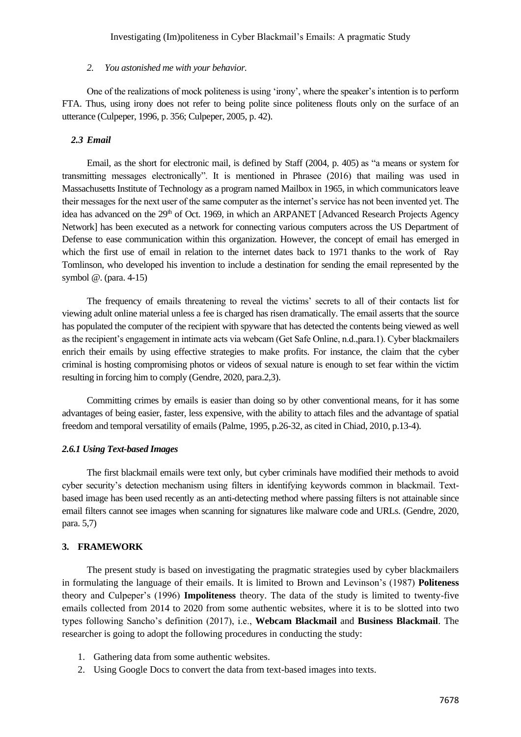#### *2. You astonished me with your behavior.*

One of the realizations of mock politeness is using 'irony', where the speaker's intention is to perform FTA. Thus, using irony does not refer to being polite since politeness flouts only on the surface of an utterance (Culpeper, 1996, p. 356; Culpeper, 2005, p. 42).

#### *2.3 Email*

Email, as the short for electronic mail, is defined by Staff (2004, p. 405) as "a means or system for transmitting messages electronically". It is mentioned in Phrasee (2016) that mailing was used in Massachusetts Institute of Technology as a program named Mailbox in 1965, in which communicators leave their messages for the next user of the same computer as the internet's service has not been invented yet. The idea has advanced on the  $29<sup>th</sup>$  of Oct. 1969, in which an ARPANET [Advanced Research Projects Agency Network] has been executed as a network for connecting various computers across the US Department of Defense to ease communication within this organization. However, the concept of email has emerged in which the first use of email in relation to the internet dates back to 1971 thanks to the work of Ray Tomlinson, who developed his invention to include a destination for sending the email represented by the symbol @. (para. 4-15)

The frequency of emails threatening to reveal the victims' secrets to all of their contacts list for viewing adult online material unless a fee is charged has risen dramatically. The email asserts that the source has populated the computer of the recipient with spyware that has detected the contents being viewed as well as the recipient's engagement in intimate acts via webcam (Get Safe Online, n.d.,para.1). Cyber blackmailers enrich their emails by using effective strategies to make profits. For instance, the claim that the cyber criminal is hosting compromising photos or videos of sexual nature is enough to set fear within the victim resulting in forcing him to comply (Gendre, 2020, para.2,3).

Committing crimes by emails is easier than doing so by other conventional means, for it has some advantages of being easier, faster, less expensive, with the ability to attach files and the advantage of spatial freedom and temporal versatility of emails (Palme, 1995, p.26-32, as cited in Chiad, 2010, p.13-4).

#### *2.6.1 Using Text-based Images*

The first blackmail emails were text only, but cyber criminals have modified their methods to avoid cyber security's detection mechanism using filters in identifying keywords common in blackmail. Textbased image has been used recently as an anti-detecting method where passing filters is not attainable since email filters cannot see images when scanning for signatures like malware code and URLs. (Gendre, 2020, para. 5,7)

### **3. FRAMEWORK**

The present study is based on investigating the pragmatic strategies used by cyber blackmailers in formulating the language of their emails. It is limited to Brown and Levinson's (1987) **Politeness** theory and Culpeper's (1996) **Impoliteness** theory. The data of the study is limited to twenty-five emails collected from 2014 to 2020 from some authentic websites, where it is to be slotted into two types following Sancho's definition (2017), i.e., **Webcam Blackmail** and **Business Blackmail**. The researcher is going to adopt the following procedures in conducting the study:

- 1. Gathering data from some authentic websites.
- 2. Using Google Docs to convert the data from text-based images into texts.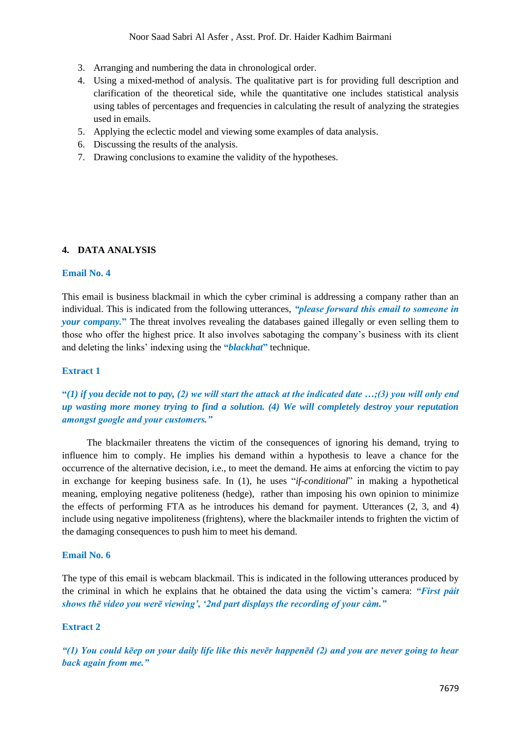- 3. Arranging and numbering the data in chronological order.
- 4. Using a mixed-method of analysis. The qualitative part is for providing full description and clarification of the theoretical side, while the quantitative one includes statistical analysis using tables of percentages and frequencies in calculating the result of analyzing the strategies used in emails.
- 5. Applying the eclectic model and viewing some examples of data analysis.
- 6. Discussing the results of the analysis.
- 7. Drawing conclusions to examine the validity of the hypotheses.

### **4. DATA ANALYSIS**

### **Email No. 4**

This email is business blackmail in which the cyber criminal is addressing a company rather than an individual. This is indicated from the following utterances, *"please forward this email to someone in your company.***"** The threat involves revealing the databases gained illegally or even selling them to those who offer the highest price. It also involves sabotaging the company's business with its client and deleting the links' indexing using the **"***blackhat***"** technique.

#### **Extract 1**

## **"***(1) if you decide not to pay, (2) we will start the attack at the indicated date …;(3) you will only end up wasting more money trying to find a solution. (4) We will completely destroy your reputation amongst google and your customers."*

The blackmailer threatens the victim of the consequences of ignoring his demand, trying to influence him to comply. He implies his demand within a hypothesis to leave a chance for the occurrence of the alternative decision, i.e., to meet the demand. He aims at enforcing the victim to pay in exchange for keeping business safe. In (1), he uses "*if-conditional*" in making a hypothetical meaning, employing negative politeness (hedge), rather than imposing his own opinion to minimize the effects of performing FTA as he introduces his demand for payment. Utterances (2, 3, and 4) include using negative impoliteness (frightens), where the blackmailer intends to frighten the victim of the damaging consequences to push him to meet his demand.

#### **Email No. 6**

The type of this email is webcam blackmail. This is indicated in the following utterances produced by the criminal in which he explains that he obtained the data using the victim's camera: *"First påit shows thē video you werē viewing', '2nd part displays the recording of your càm."*

### **Extract 2**

*"(1) You could kēep on your daily life like this nevēr happenēd (2) and you are never going to hear back again from me."*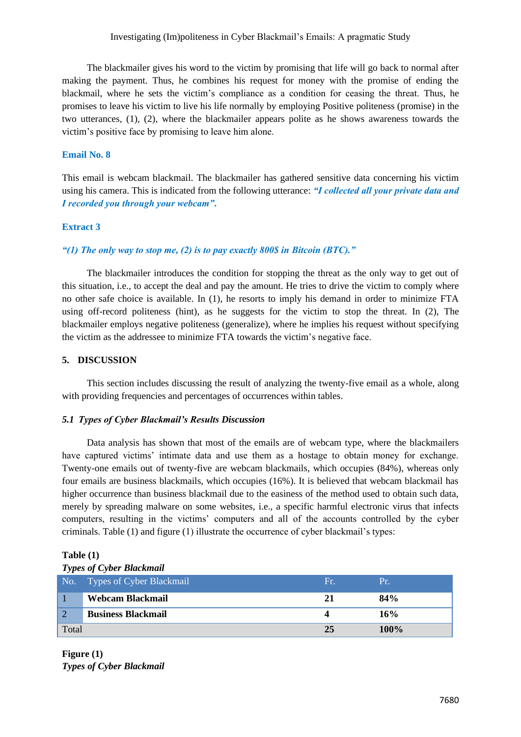The blackmailer gives his word to the victim by promising that life will go back to normal after making the payment. Thus, he combines his request for money with the promise of ending the blackmail, where he sets the victim's compliance as a condition for ceasing the threat. Thus, he promises to leave his victim to live his life normally by employing Positive politeness (promise) in the two utterances, (1), (2), where the blackmailer appears polite as he shows awareness towards the victim's positive face by promising to leave him alone.

### **Email No. 8**

This email is webcam blackmail. The blackmailer has gathered sensitive data concerning his victim using his camera. This is indicated from the following utterance: *"I collected all your private data and I recorded you through your webcam"***.** 

#### **Extract 3**

### *"(1) The only way to stop me, (2) is to pay exactly 800\$ in Bitcoin (BTC)."*

The blackmailer introduces the condition for stopping the threat as the only way to get out of this situation, i.e., to accept the deal and pay the amount. He tries to drive the victim to comply where no other safe choice is available. In (1), he resorts to imply his demand in order to minimize FTA using off-record politeness (hint), as he suggests for the victim to stop the threat. In (2), The blackmailer employs negative politeness (generalize), where he implies his request without specifying the victim as the addressee to minimize FTA towards the victim's negative face.

### **5. DISCUSSION**

This section includes discussing the result of analyzing the twenty-five email as a whole, along with providing frequencies and percentages of occurrences within tables.

#### *5.1 Types of Cyber Blackmail's Results Discussion*

Data analysis has shown that most of the emails are of webcam type, where the blackmailers have captured victims' intimate data and use them as a hostage to obtain money for exchange. Twenty-one emails out of twenty-five are webcam blackmails, which occupies (84%), whereas only four emails are business blackmails, which occupies (16%). It is believed that webcam blackmail has higher occurrence than business blackmail due to the easiness of the method used to obtain such data, merely by spreading malware on some websites, i.e., a specific harmful electronic virus that infects computers, resulting in the victims' computers and all of the accounts controlled by the cyber criminals. Table (1) and figure (1) illustrate the occurrence of cyber blackmail's types:

# **Table (1)**

| <b>Types of Cyber Blackmail</b> |                                                  |     |         |  |
|---------------------------------|--------------------------------------------------|-----|---------|--|
|                                 | No. Types of $\overline{\text{Cyber Blackmail}}$ | Fr. | TP 1    |  |
|                                 | Webcam Blackmail                                 | 21  | 84%     |  |
| $\overline{2}$                  | <b>Business Blackmail</b>                        |     | 16%     |  |
| Total                           |                                                  | 25  | $100\%$ |  |

**Figure (1)** *Types of Cyber Blackmail*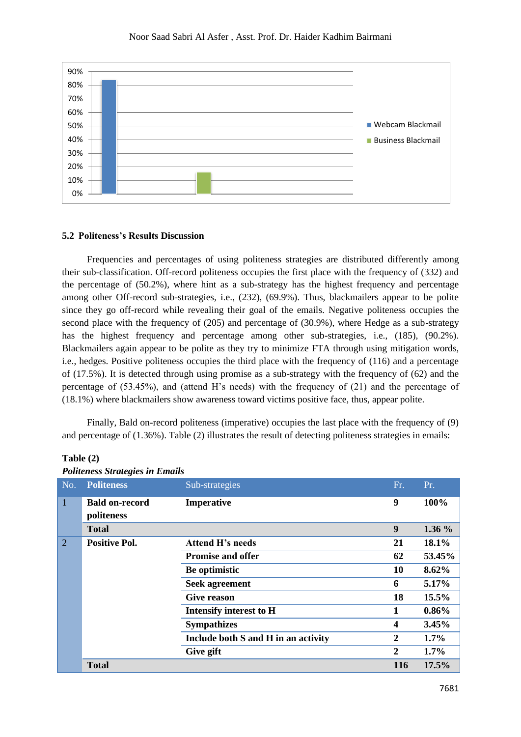

#### **5.2 Politeness's Results Discussion**

Frequencies and percentages of using politeness strategies are distributed differently among their sub-classification. Off-record politeness occupies the first place with the frequency of (332) and the percentage of (50.2%), where hint as a sub-strategy has the highest frequency and percentage among other Off-record sub-strategies, i.e., (232), (69.9%). Thus, blackmailers appear to be polite since they go off-record while revealing their goal of the emails. Negative politeness occupies the second place with the frequency of (205) and percentage of (30.9%), where Hedge as a sub-strategy has the highest frequency and percentage among other sub-strategies, i.e., (185), (90.2%). Blackmailers again appear to be polite as they try to minimize FTA through using mitigation words, i.e., hedges. Positive politeness occupies the third place with the frequency of (116) and a percentage of (17.5%). It is detected through using promise as a sub-strategy with the frequency of (62) and the percentage of (53.45%), and (attend H's needs) with the frequency of (21) and the percentage of (18.1%) where blackmailers show awareness toward victims positive face, thus, appear polite.

Finally, Bald on-record politeness (imperative) occupies the last place with the frequency of (9) and percentage of (1.36%). Table (2) illustrates the result of detecting politeness strategies in emails:

|              | I butthess buttlegies in Emans |                                     |                  |          |  |  |
|--------------|--------------------------------|-------------------------------------|------------------|----------|--|--|
| No.          | <b>Politeness</b>              | Sub-strategies                      | Fr.              | Pr.      |  |  |
| $\mathbf{1}$ | <b>Bald on-record</b>          | Imperative                          | 9                | 100%     |  |  |
|              | politeness                     |                                     |                  |          |  |  |
|              | <b>Total</b>                   |                                     | 9                | 1.36 %   |  |  |
| 2            | <b>Positive Pol.</b>           | <b>Attend H's needs</b>             | 21               | 18.1%    |  |  |
|              |                                | <b>Promise and offer</b>            | 62               | 53.45%   |  |  |
|              |                                | Be optimistic                       | 10               | 8.62%    |  |  |
|              |                                | <b>Seek agreement</b>               | 6                | 5.17%    |  |  |
|              |                                | <b>Give reason</b>                  | 18               | 15.5%    |  |  |
|              |                                | <b>Intensify interest to H</b>      | 1                | $0.86\%$ |  |  |
|              |                                | <b>Sympathizes</b>                  | 4                | 3.45%    |  |  |
|              |                                | Include both S and H in an activity | $\boldsymbol{2}$ | $1.7\%$  |  |  |
|              |                                | Give gift                           | $\overline{2}$   | $1.7\%$  |  |  |
|              | <b>Total</b>                   |                                     | 116              | 17.5%    |  |  |

7681

#### **Table (2)**  *Politeness Strategies in Emails*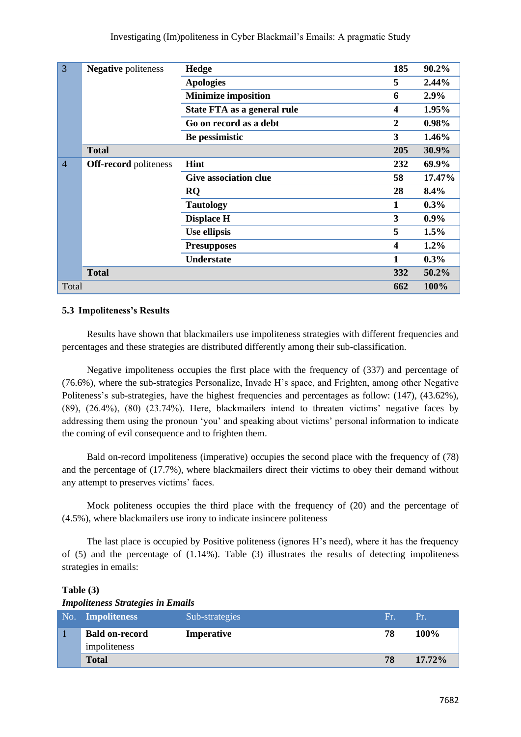| $\overline{3}$ | <b>Negative</b> politeness   | Hedge                        | 185                     | 90.2%    |
|----------------|------------------------------|------------------------------|-------------------------|----------|
|                |                              | <b>Apologies</b>             | 5                       | 2.44%    |
|                |                              | <b>Minimize imposition</b>   | 6                       | 2.9%     |
|                |                              | State FTA as a general rule  | $\overline{\mathbf{4}}$ | 1.95%    |
|                |                              | Go on record as a debt       | $\boldsymbol{2}$        | $0.98\%$ |
|                |                              | Be pessimistic               | 3                       | 1.46%    |
|                | <b>Total</b>                 |                              | 205                     | 30.9%    |
| $\overline{4}$ | <b>Off-record</b> politeness | Hint                         | 232                     | 69.9%    |
|                |                              | <b>Give association clue</b> | 58                      | 17.47%   |
|                |                              | RQ                           | 28                      | 8.4%     |
|                |                              | <b>Tautology</b>             | 1                       | $0.3\%$  |
|                |                              | <b>Displace H</b>            | 3                       | $0.9\%$  |
|                |                              | Use ellipsis                 | 5                       | 1.5%     |
|                |                              | <b>Presupposes</b>           | $\overline{\mathbf{4}}$ | $1.2\%$  |
|                |                              | <b>Understate</b>            | 1                       | $0.3\%$  |
|                | <b>Total</b>                 |                              | 332                     | 50.2%    |
| Total          |                              |                              | 662                     | 100%     |

## **5.3 Impoliteness's Results**

Results have shown that blackmailers use impoliteness strategies with different frequencies and percentages and these strategies are distributed differently among their sub-classification.

Negative impoliteness occupies the first place with the frequency of (337) and percentage of (76.6%), where the sub-strategies Personalize, Invade H's space, and Frighten, among other Negative Politeness's sub-strategies, have the highest frequencies and percentages as follow: (147), (43.62%), (89), (26.4%), (80) (23.74%). Here, blackmailers intend to threaten victims' negative faces by addressing them using the pronoun 'you' and speaking about victims' personal information to indicate the coming of evil consequence and to frighten them.

Bald on-record impoliteness (imperative) occupies the second place with the frequency of (78) and the percentage of (17.7%), where blackmailers direct their victims to obey their demand without any attempt to preserves victims' faces.

Mock politeness occupies the third place with the frequency of (20) and the percentage of (4.5%), where blackmailers use irony to indicate insincere politeness

The last place is occupied by Positive politeness (ignores H's need), where it has the frequency of (5) and the percentage of (1.14%). Table (3) illustrates the results of detecting impoliteness strategies in emails:

| mponeness su alexes in manus          |                   |     |           |  |
|---------------------------------------|-------------------|-----|-----------|--|
| No. Impoliteness                      | Sub-strategies    | Fr. | Pr.       |  |
| <b>Bald on-record</b><br>impoliteness | <b>Imperative</b> | 78  | $100\%$   |  |
| <b>Total</b>                          |                   | 78  | $17.72\%$ |  |

## **Table (3)**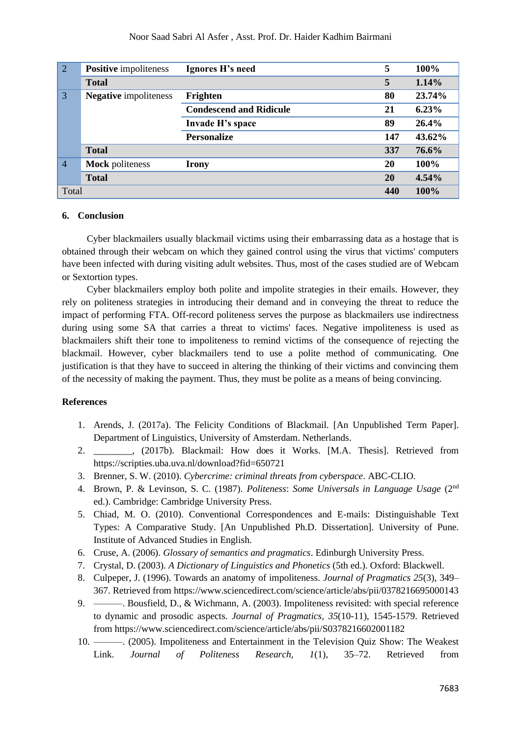| $\boxed{2}$    | <b>Positive</b> impoliteness | Ignores H's need               | 5   | 100%   |
|----------------|------------------------------|--------------------------------|-----|--------|
|                | <b>Total</b>                 |                                | 5   | 1.14%  |
| $\overline{3}$ | <b>Negative</b> impoliteness | Frighten                       | 80  | 23.74% |
|                |                              | <b>Condescend and Ridicule</b> | 21  | 6.23%  |
|                |                              | Invade H's space               | 89  | 26.4%  |
|                |                              | <b>Personalize</b>             | 147 | 43.62% |
|                | <b>Total</b>                 |                                | 337 | 76.6%  |
| $\overline{4}$ | <b>Mock</b> politeness       | Irony                          | 20  | 100%   |
|                | <b>Total</b>                 |                                | 20  | 4.54%  |
| Total          |                              |                                | 440 | 100%   |

### **6. Conclusion**

Cyber blackmailers usually blackmail victims using their embarrassing data as a hostage that is obtained through their webcam on which they gained control using the virus that victims' computers have been infected with during visiting adult websites. Thus, most of the cases studied are of Webcam or Sextortion types.

Cyber blackmailers employ both polite and impolite strategies in their emails. However, they rely on politeness strategies in introducing their demand and in conveying the threat to reduce the impact of performing FTA. Off-record politeness serves the purpose as blackmailers use indirectness during using some SA that carries a threat to victims' faces. Negative impoliteness is used as blackmailers shift their tone to impoliteness to remind victims of the consequence of rejecting the blackmail. However, cyber blackmailers tend to use a polite method of communicating. One justification is that they have to succeed in altering the thinking of their victims and convincing them of the necessity of making the payment. Thus, they must be polite as a means of being convincing.

## **References**

- 1. Arends, J. (2017a). The Felicity Conditions of Blackmail*.* [An Unpublished Term Paper]. Department of Linguistics, University of Amsterdam. Netherlands.
- 2. \_\_\_\_\_\_\_\_, (2017b). Blackmail: How does it Works. [M.A. Thesis]. Retrieved from <https://scripties.uba.uva.nl/download?fid=650721>
- 3. Brenner, S. W. (2010). *Cybercrime: criminal threats from cyberspace*. ABC-CLIO.
- 4. Brown, P. & Levinson, S. C. (1987). *Politeness*: *Some Universals in Language Usage* (2nd ed.). Cambridge: Cambridge University Press.
- 5. Chiad, M. O. (2010). Conventional Correspondences and E-mails: Distinguishable Text Types: A Comparative Study. [An Unpublished Ph.D. Dissertation]. University of Pune. Institute of Advanced Studies in English.
- 6. Cruse, A. (2006). *Glossary of semantics and pragmatics*. Edinburgh University Press.
- 7. Crystal, D. (2003). *A Dictionary of Linguistics and Phonetics* (5th ed.). Oxford: Blackwell.
- 8. Culpeper, J. (1996). Towards an anatomy of impoliteness. *Journal of Pragmatics 25*(3), 349– 367. Retrieved from<https://www.sciencedirect.com/science/article/abs/pii/0378216695000143>
- 9. ———. Bousfield, D., & Wichmann, A. (2003). Impoliteness revisited: with special reference to dynamic and prosodic aspects. *Journal of Pragmatics, 35*(10-11), 1545-1579. Retrieved from<https://www.sciencedirect.com/science/article/abs/pii/S0378216602001182>
- 10. ———. (2005). Impoliteness and Entertainment in the Television Quiz Show: The Weakest Link. *Journal of Politeness Research, 1*(1), 35–72. Retrieved from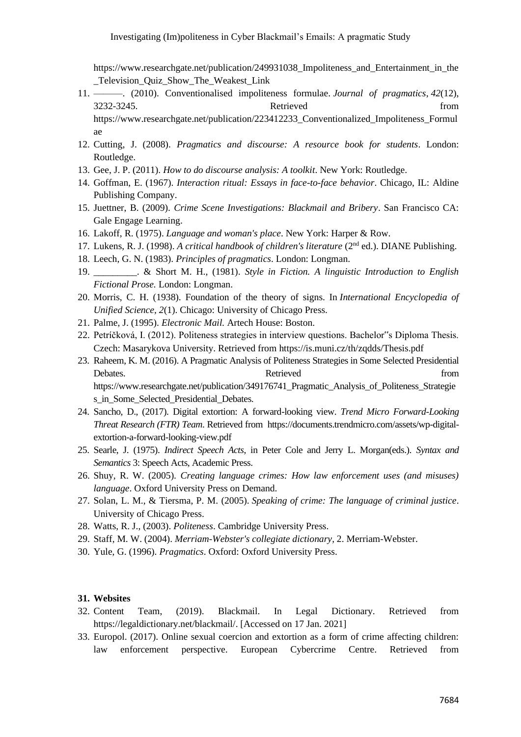[https://www.researchgate.net/publication/249931038\\_Impoliteness\\_and\\_Entertainment\\_in\\_the](https://www.researchgate.net/publication/249931038_Impoliteness_and_Entertainment_in_the_Television_Quiz_Show_The_Weakest_Link) [\\_Television\\_Quiz\\_Show\\_The\\_Weakest\\_Link](https://www.researchgate.net/publication/249931038_Impoliteness_and_Entertainment_in_the_Television_Quiz_Show_The_Weakest_Link)

- 11. ———. (2010). Conventionalised impoliteness formulae. *Journal of pragmatics*, *42*(12), 3232-3245. Retrieved from [https://www.researchgate.net/publication/223412233\\_Conventionalized\\_Impoliteness\\_Formul](https://www.researchgate.net/publication/223412233_Conventionalized_Impoliteness_Formulae)
- 12. Cutting, J. (2008). *Pragmatics and discourse: A resource book for students*. London: Routledge.
- 13. Gee, J. P. (2011). *How to do discourse analysis: A toolkit*. New York: Routledge.
- 14. Goffman, E. (1967). *Interaction ritual: Essays in face-to-face behavior*. Chicago, IL: Aldine Publishing Company.
- 15. Juettner, B. (2009). *Crime Scene Investigations: Blackmail and Bribery*. San Francisco CA: Gale Engage Learning.
- 16. Lakoff, R. (1975). *Language and woman's place*. New York: Harper & Row.
- 17. Lukens, R. J. (1998). *A critical handbook of children's literature* (2nd ed.). DIANE Publishing.
- 18. Leech, G. N. (1983). *Principles of pragmatics*. London: Longman.
- 19. \_\_\_\_\_\_\_\_\_. & Short M. H., (1981). *Style in Fiction. A linguistic Introduction to English Fictional Prose.* London: Longman.
- 20. Morris, C. H. (1938). Foundation of the theory of signs. In *International Encyclopedia of Unified Science, 2*(1). Chicago: University of Chicago Press.
- 21. Palme, J. (1995). *Electronic Mail.* Artech House: Boston.
- 22. Petríčková, I. (2012). Politeness strategies in interview questions. Bachelor"s Diploma Thesis. Czech: Masarykova University. Retrieved from<https://is.muni.cz/th/zqdds/Thesis.pdf>
- 23. Raheem, K. M. (2016). A Pragmatic Analysis of Politeness Strategies in Some Selected Presidential Debates. The retrieved from  $\blacksquare$ [https://www.researchgate.net/publication/349176741\\_Pragmatic\\_Analysis\\_of\\_Politeness\\_Strategie](https://www.researchgate.net/publication/349176741_Pragmatic_Analysis_of_Politeness_Strategies_in_Some_Selected_Presidential_Debates) s in Some Selected Presidential Debates.
- 24. Sancho, D., (2017). Digital extortion: A forward-looking view. *Trend Micro Forward-Looking Threat Research (FTR) Team*. Retrieved from [https://documents.trendmicro.com/assets/wp-digital](https://documents.trendmicro.com/assets/wp-digital-extortion-a-forward-looking-view.pdf)[extortion-a-forward-looking-view.pdf](https://documents.trendmicro.com/assets/wp-digital-extortion-a-forward-looking-view.pdf)
- 25. Searle, J. (1975). *Indirect Speech Acts*, in Peter Cole and Jerry L. Morgan(eds.). *Syntax and Semantics* 3: Speech Acts, Academic Press.
- 26. Shuy, R. W. (2005). *Creating language crimes: How law enforcement uses (and misuses) language*. Oxford University Press on Demand.
- 27. Solan, L. M., & Tiersma, P. M. (2005). *Speaking of crime: The language of criminal justice*. University of Chicago Press.
- 28. Watts, R. J., (2003). *Politeness*. Cambridge University Press.
- 29. Staff, M. W. (2004). *Merriam-Webster's collegiate dictionary*, 2. Merriam-Webster.
- 30. Yule, G. (1996). *Pragmatics*. Oxford: Oxford University Press.

### **31. Websites**

[ae](https://www.researchgate.net/publication/223412233_Conventionalized_Impoliteness_Formulae)

- 32. Content Team, (2019). Blackmail. In Legal Dictionary. Retrieved from [https://legaldictionary.net/blackmail/.](https://legaldictionary.net/blackmail/) [Accessed on 17 Jan. 2021]
- 33. Europol. (2017). Online sexual coercion and extortion as a form of crime affecting children: law enforcement perspective. European Cybercrime Centre. Retrieved from